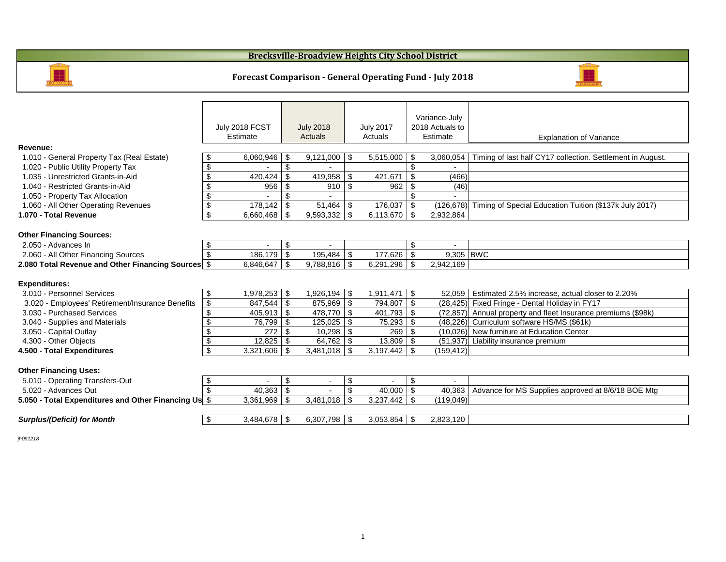|                                                      |                            | July 2018 FCST<br><b>Estimate</b> |                            | <b>July 2018</b><br><b>Actuals</b> |                            | <b>July 2017</b><br>Actuals |                            | Variance-July<br>2018 Actuals to<br><b>Estimate</b> | <b>Explanation of Vari</b>                        |
|------------------------------------------------------|----------------------------|-----------------------------------|----------------------------|------------------------------------|----------------------------|-----------------------------|----------------------------|-----------------------------------------------------|---------------------------------------------------|
| <b>Revenue:</b>                                      |                            |                                   |                            |                                    |                            |                             |                            |                                                     |                                                   |
| 1.010 - General Property Tax (Real Estate)           | \$                         | 6,060,946                         | \$                         | 9,121,000                          | \$                         | 5,515,000                   | \$                         | 3,060,054                                           | Timing of last half CY17 collection. Se           |
| 1.020 - Public Utility Property Tax                  | $\boldsymbol{\theta}$      |                                   | $\boldsymbol{\mathsf{S}}$  |                                    |                            |                             | $\mathfrak{S}$             |                                                     |                                                   |
| 1.035 - Unrestricted Grants-in-Aid                   | $\boldsymbol{\theta}$      | 420,424                           | \$                         | 419,958                            | \$                         | 421,671                     | $\boldsymbol{\mathsf{S}}$  | (466)                                               |                                                   |
| 1.040 - Restricted Grants-in-Aid                     | \$                         | 956                               | \$                         | 910                                | \$                         | 962                         | \$                         | (46)                                                |                                                   |
| 1.050 - Property Tax Allocation                      | $\boldsymbol{\mathsf{\$}}$ |                                   | \$                         |                                    |                            |                             | \$                         |                                                     |                                                   |
| 1.060 - All Other Operating Revenues                 | $\boldsymbol{\mathsf{\$}}$ | 178,142                           | \$                         | 51,464                             | \$                         | 176,037                     | $\boldsymbol{\mathcal{F}}$ |                                                     | (126,678) Timing of Special Education Tuition (\$ |
| 1.070 - Total Revenue                                | $\boldsymbol{\mathsf{S}}$  | 6,660,468                         | \$                         | 9,593,332                          | \$                         | 6,113,670   \$              |                            | 2,932,864                                           |                                                   |
| <b>Other Financing Sources:</b>                      |                            |                                   |                            |                                    |                            |                             |                            |                                                     |                                                   |
| 2.050 - Advances In                                  | \$                         |                                   | \$                         | $\overline{\phantom{a}}$           |                            |                             | $\$\$                      | $\blacksquare$                                      |                                                   |
| 2.060 - All Other Financing Sources                  |                            | 186,179                           | \$                         | $195,484$ \\$                      |                            | 177,626                     | \$                         | 9,305 BWC                                           |                                                   |
| 2.080 Total Revenue and Other Financing Sources \$   |                            | 6,846,647                         | $\boldsymbol{\mathcal{S}}$ | $9,788,816$ \$                     |                            |                             |                            | 2,942,169                                           |                                                   |
| <b>Expenditures:</b>                                 |                            |                                   |                            |                                    |                            |                             |                            |                                                     |                                                   |
| 3.010 - Personnel Services                           | \$                         | ,978,253.                         | \$                         | 1,926,194 │ \$                     |                            | $1,911,471$   \$            |                            |                                                     | 52,059   Estimated 2.5% increase, actual close    |
| 3.020 - Employees' Retirement/Insurance Benefits     | \$                         | 847,544                           | $\boldsymbol{\mathsf{\$}}$ | $875,969$ \$                       |                            | 794,807   \$                |                            |                                                     | (28,425) Fixed Fringe - Dental Holiday in FY17    |
| 3.030 - Purchased Services                           | $\boldsymbol{\theta}$      | 405,913                           | $\boldsymbol{\mathsf{S}}$  | $478,770$ \\$                      |                            | $401,793$   \$              |                            |                                                     | (72,857) Annual property and fleet Insurance pro  |
| 3.040 - Supplies and Materials                       | $\boldsymbol{\mathsf{S}}$  | 76,799                            | $\boldsymbol{\mathsf{S}}$  | 125,025                            | $\boldsymbol{\mathsf{\$}}$ | $75,293   \overline{$}$     |                            |                                                     | (48,226) Curriculum software HS/MS (\$61k)        |
| 3.050 - Capital Outlay                               | $\boldsymbol{\mathsf{S}}$  | 272                               |                            | 10,298                             | -\$                        | 269                         | \$                         |                                                     | (10,026) New furniture at Education Center        |
| 4.300 - Other Objects                                | $\boldsymbol{\mathsf{S}}$  | 12,825                            | $\boldsymbol{\mathsf{\$}}$ |                                    |                            | $13,809$ \\$                |                            |                                                     | (51,937) Liability insurance premium              |
| 4.500 - Total Expenditures                           | $\overline{\mathcal{S}}$   | 3,321,606                         | \$                         | 3,481,018                          | \$                         | 3,197,442                   | \$                         | (159, 412)                                          |                                                   |
| <b>Other Financing Uses:</b>                         |                            |                                   |                            |                                    |                            |                             |                            |                                                     |                                                   |
| 5.010 - Operating Transfers-Out                      | $\boldsymbol{\mathcal{F}}$ |                                   | $\boldsymbol{\mathsf{\$}}$ | $\blacksquare$                     | $\boldsymbol{\mathsf{S}}$  |                             | $\boldsymbol{\mathsf{S}}$  | $\blacksquare$                                      |                                                   |
| 5.020 - Advances Out                                 | $\boldsymbol{\mathsf{\$}}$ | 40,363                            | $\boldsymbol{\mathcal{L}}$ |                                    | $\boldsymbol{\mathsf{\$}}$ | 40,000   \$                 |                            | 40,363                                              | Advance for MS Supplies approved at               |
| 5.050 - Total Expenditures and Other Financing Us \$ |                            | 3,361,969                         | \$                         | 3,481,018                          | \$                         | $3,237,442$   \$            |                            | (119, 049)                                          |                                                   |
| <b>Surplus/(Deficit) for Month</b>                   | $\boldsymbol{\mathcal{L}}$ | $3,484,678$ \$                    |                            | 6,307,798 $\frac{1}{2}$            |                            |                             |                            | 2,823,120                                           |                                                   |
|                                                      |                            |                                   |                            |                                    |                            |                             |                            |                                                     |                                                   |

*jh061218*

## **Forecast Comparison - General Operating Fund - July 2018**

## **Brecksville-Broadview Heights City School District**





### n of Variance

.<br>tion. Settlement in August.

### $\int$ iuition (\$137k July 2017)

ual closer to 2.20%<br>in FY17 rance premiums (\$98k)<br>\$61k)

### roved at 8/6/18 BOE Mtg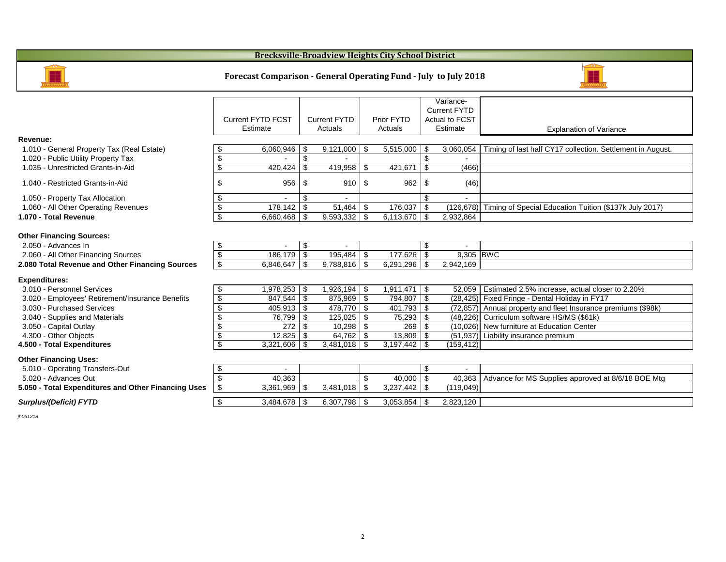|                                                                                   |                                  | <b>Current FYTD FCST</b><br>Estimate | <b>Current FYTD</b><br><b>Actuals</b> |                  |                            | <b>Prior FYTD</b><br><b>Actuals</b> |                            | Variance-<br><b>Current FYTD</b><br><b>Actual to FCST</b><br>Estimate | <b>Explanation of Vari</b>                      |
|-----------------------------------------------------------------------------------|----------------------------------|--------------------------------------|---------------------------------------|------------------|----------------------------|-------------------------------------|----------------------------|-----------------------------------------------------------------------|-------------------------------------------------|
| Revenue:                                                                          |                                  |                                      |                                       |                  |                            |                                     |                            |                                                                       |                                                 |
| 1.010 - General Property Tax (Real Estate)<br>1.020 - Public Utility Property Tax | \$<br>$\boldsymbol{\mathsf{S}}$  | 6,060,946                            | \$<br>$\mathbb{S}$                    | $9,121,000$   \$ |                            | 5,515,000                           | \$<br>$\mathcal{L}$        | 3,060,054                                                             | Timing of last half CY17 collection. Se         |
| 1.035 - Unrestricted Grants-in-Aid                                                | $\boldsymbol{\mathsf{S}}$        | 420,424                              | $\boldsymbol{\mathsf{S}}$             | 419,958          | \$                         | 421,671                             | $\mathfrak{S}$             | (466)                                                                 |                                                 |
| 1.040 - Restricted Grants-in-Aid                                                  | \$                               | 956                                  | \$                                    | 910              | \$                         | 962                                 | \$                         | (46)                                                                  |                                                 |
| 1.050 - Property Tax Allocation                                                   | $\boldsymbol{\theta}$            |                                      | $\mathbb{S}$                          |                  |                            |                                     | $\mathfrak{S}$             |                                                                       |                                                 |
| 1.060 - All Other Operating Revenues                                              | $\overline{\mathbf{e}}$          | 178,142                              | $\frac{1}{2}$                         | 51,464           | $\boldsymbol{\mathcal{F}}$ | 176,037                             | $\boldsymbol{\mathsf{S}}$  | (126, 678)                                                            | Timing of Special Education Tuition (\$         |
| 1.070 - Total Revenue                                                             | $\overline{\mathbf{e}}$          | 6,660,468                            | \$                                    | $9,593,332$   \$ |                            | 6,113,670 $\frac{1}{9}$             |                            | 2,932,864                                                             |                                                 |
| <b>Other Financing Sources:</b>                                                   |                                  |                                      |                                       |                  |                            |                                     |                            |                                                                       |                                                 |
| 2.050 - Advances In                                                               | $\boldsymbol{\theta}$            |                                      | $\boldsymbol{\mathsf{S}}$             |                  |                            |                                     | $\boldsymbol{\mathcal{L}}$ | $\overline{a}$                                                        |                                                 |
| 2.060 - All Other Financing Sources                                               | $\boldsymbol{\mathsf{S}}$        | 186,179                              | $\mathfrak{F}$                        | 195,484          | $\boldsymbol{\mathcal{L}}$ | 177,626                             | $\boldsymbol{\mathsf{\$}}$ | 9,305 BWC                                                             |                                                 |
| 2.080 Total Revenue and Other Financing Sources                                   | $\overline{\$}$                  | 6,846,647                            | \$                                    | $9,788,816$ \$   |                            | 6,291,296                           | $\boldsymbol{\mathsf{\$}}$ | 2,942,169                                                             |                                                 |
| <b>Expenditures:</b>                                                              |                                  |                                      |                                       |                  |                            |                                     |                            |                                                                       |                                                 |
| 3.010 - Personnel Services                                                        | $\boldsymbol{\theta}$            | 1,978,253                            | $\boldsymbol{\mathsf{S}}$             | 1,926,194        | $\boldsymbol{\mathcal{F}}$ | 1,911,471                           | $\sqrt{3}$                 | 52,059                                                                | Estimated 2.5% increase, actual close           |
| 3.020 - Employees' Retirement/Insurance Benefits                                  | $\overline{\mathbf{G}}$          | 847,544                              | $\sqrt[6]{3}$                         | $875,969$   \$   |                            | 794,807   \$                        |                            |                                                                       | (28,425) Fixed Fringe - Dental Holiday in FY17  |
| 3.030 - Purchased Services                                                        | $\boldsymbol{\mathsf{S}}$        | 405,913                              | $\boldsymbol{\mathsf{\$}}$            | $478,770$   \$   |                            | $401,793$   \$                      |                            |                                                                       | (72,857) Annual property and fleet Insurance po |
| 3.040 - Supplies and Materials                                                    | $\boldsymbol{\theta}$            | 76,799                               | \$                                    | 125,025          | \$                         | 75,293                              | $\boldsymbol{\mathsf{S}}$  | (48, 226)                                                             | Curriculum software HS/MS (\$61k)               |
| 3.050 - Capital Outlay                                                            | $\boldsymbol{\mathsf{S}}$        | 272                                  | \$                                    |                  |                            | 269                                 | \$                         |                                                                       | (10,026) New furniture at Education Center      |
| 4.300 - Other Objects                                                             | $\overline{\boldsymbol{\theta}}$ | 12,825                               | \$                                    |                  |                            | $13,809$ \\$                        |                            |                                                                       | (51,937) Liability insurance premium            |
| 4.500 - Total Expenditures                                                        | $\overline{\$}$                  | 3,321,606                            | $\mathfrak{L}$                        |                  |                            |                                     |                            | (159, 412)                                                            |                                                 |
| <b>Other Financing Uses:</b>                                                      |                                  |                                      |                                       |                  |                            |                                     |                            |                                                                       |                                                 |
| 5.010 - Operating Transfers-Out                                                   | \$                               |                                      |                                       |                  |                            |                                     | $\boldsymbol{\mathsf{S}}$  |                                                                       |                                                 |
| 5.020 - Advances Out                                                              | $\boldsymbol{\mathsf{S}}$        | 40,363                               |                                       |                  | \$                         | $40,000$   \$                       |                            | 40,363                                                                | Advance for MS Supplies approved at             |
| 5.050 - Total Expenditures and Other Financing Uses                               | $\boldsymbol{\mathsf{\$}}$       | 3,361,969                            | $\sqrt[6]{3}$                         | 3,481,018        | $\boldsymbol{\mathcal{F}}$ | 3,237,442                           | $\boldsymbol{\mathsf{\$}}$ | (119, 049)                                                            |                                                 |
| <b>Surplus/(Deficit) FYTD</b>                                                     | $\boldsymbol{\theta}$            | 3,484,678                            | $\sqrt{3}$                            | $6,307,798$   \$ |                            |                                     |                            | 2,823,120                                                             |                                                 |
| ih061218                                                                          |                                  |                                      |                                       |                  |                            |                                     |                            |                                                                       |                                                 |

## **Brecksville-Broadview Heights City School District**



### **Forecast Comparison - General Operating Fund - July to July 2018**

| ____ | ____  |  |
|------|-------|--|
|      | _____ |  |
|      | .     |  |

lanation of Variance

7 collection. Settlement in August.

<sup>2</sup> cation Tuition (\$137k July 2017)

se, actual closer to 2.20% <sup>.</sup><br><del>I</del>oliday in FY17 eet Insurance premiums (\$98k)<br>S/MS (\$61k)

es approved at 8/6/18 BOE Mtg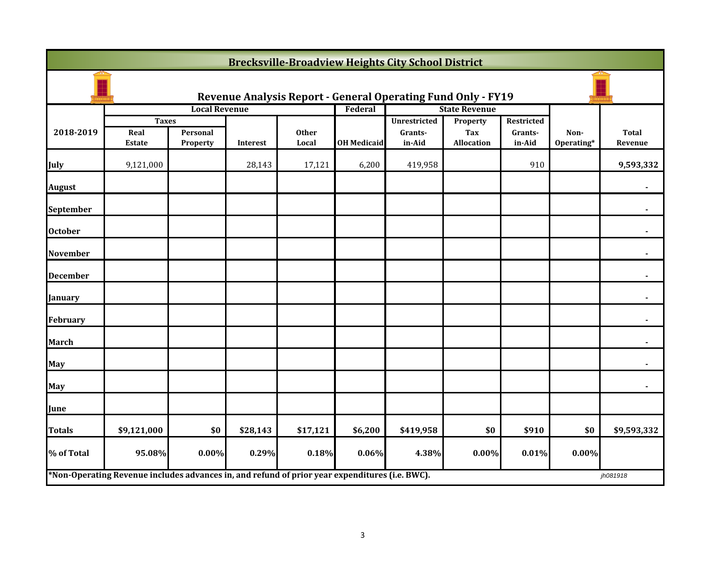|                  | <b>Brecksville-Broadview Heights City School District</b>                                      |                             |                 |                       |                    |                                                                     |                               |                                 |                    |                         |
|------------------|------------------------------------------------------------------------------------------------|-----------------------------|-----------------|-----------------------|--------------------|---------------------------------------------------------------------|-------------------------------|---------------------------------|--------------------|-------------------------|
|                  |                                                                                                |                             |                 |                       |                    | <b>Revenue Analysis Report - General Operating Fund Only - FY19</b> |                               |                                 |                    |                         |
|                  |                                                                                                | <b>Local Revenue</b>        |                 |                       | Federal            |                                                                     | <b>State Revenue</b>          |                                 |                    |                         |
| 2018-2019        | <b>Taxes</b><br>Real<br><b>Estate</b>                                                          | Personal<br><b>Property</b> | <b>Interest</b> | <b>Other</b><br>Local | <b>OH Medicaid</b> | <b>Unrestricted</b><br>Grants-<br>in-Aid                            | Property<br>Tax<br>Allocation | Restricted<br>Grants-<br>in-Aid | Non-<br>Operating* | <b>Total</b><br>Revenue |
| July             | 9,121,000                                                                                      |                             | 28,143          | 17,121                | 6,200              | 419,958                                                             |                               | 910                             |                    | 9,593,332               |
| <b>August</b>    |                                                                                                |                             |                 |                       |                    |                                                                     |                               |                                 |                    |                         |
| <b>September</b> |                                                                                                |                             |                 |                       |                    |                                                                     |                               |                                 |                    |                         |
| <b>October</b>   |                                                                                                |                             |                 |                       |                    |                                                                     |                               |                                 |                    |                         |
| <b>November</b>  |                                                                                                |                             |                 |                       |                    |                                                                     |                               |                                 |                    |                         |
| <b>December</b>  |                                                                                                |                             |                 |                       |                    |                                                                     |                               |                                 |                    |                         |
| <b>January</b>   |                                                                                                |                             |                 |                       |                    |                                                                     |                               |                                 |                    |                         |
| February         |                                                                                                |                             |                 |                       |                    |                                                                     |                               |                                 |                    |                         |
| <b>March</b>     |                                                                                                |                             |                 |                       |                    |                                                                     |                               |                                 |                    |                         |
| <b>May</b>       |                                                                                                |                             |                 |                       |                    |                                                                     |                               |                                 |                    |                         |
| May              |                                                                                                |                             |                 |                       |                    |                                                                     |                               |                                 |                    |                         |
| June             |                                                                                                |                             |                 |                       |                    |                                                                     |                               |                                 |                    |                         |
| <b>Totals</b>    | \$9,121,000                                                                                    | \$0                         | \$28,143        | \$17,121              | \$6,200            | \$419,958                                                           | \$0                           | \$910                           | \$0                | \$9,593,332             |
| % of Total       | 95.08%                                                                                         | $0.00\%$                    | 0.29%           | 0.18%                 | 0.06%              | 4.38%                                                               | $0.00\%$                      | 0.01%                           | $0.00\%$           |                         |
|                  | *Non-Operating Revenue includes advances in, and refund of prior year expenditures (i.e. BWC). |                             |                 |                       |                    |                                                                     |                               |                                 |                    | jh081918                |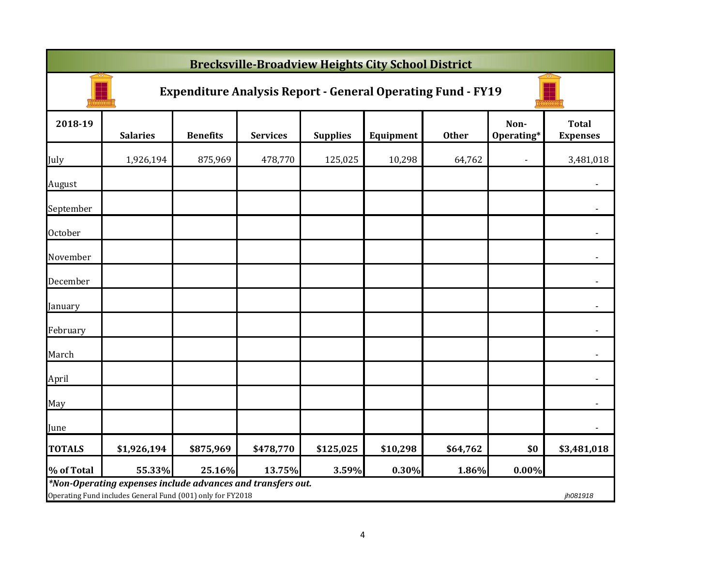|               | <b>Brecksville-Broadview Heights City School District</b>                                                                 |                 |                 |                 |           |              |                    |                                 |  |  |
|---------------|---------------------------------------------------------------------------------------------------------------------------|-----------------|-----------------|-----------------|-----------|--------------|--------------------|---------------------------------|--|--|
|               | <b>Expenditure Analysis Report - General Operating Fund - FY19</b>                                                        |                 |                 |                 |           |              |                    |                                 |  |  |
| 2018-19       | <b>Salaries</b>                                                                                                           | <b>Benefits</b> | <b>Services</b> | <b>Supplies</b> | Equipment | <b>Other</b> | Non-<br>Operating* | <b>Total</b><br><b>Expenses</b> |  |  |
| July          | 1,926,194                                                                                                                 | 875,969         | 478,770         | 125,025         | 10,298    | 64,762       | $\blacksquare$     | 3,481,018                       |  |  |
| August        |                                                                                                                           |                 |                 |                 |           |              |                    | $\blacksquare$                  |  |  |
| September     |                                                                                                                           |                 |                 |                 |           |              |                    | $\blacksquare$                  |  |  |
| October       |                                                                                                                           |                 |                 |                 |           |              |                    | $\blacksquare$                  |  |  |
| November      |                                                                                                                           |                 |                 |                 |           |              |                    | $\blacksquare$                  |  |  |
| December      |                                                                                                                           |                 |                 |                 |           |              |                    | $\blacksquare$                  |  |  |
| January       |                                                                                                                           |                 |                 |                 |           |              |                    | $\tilde{\phantom{a}}$           |  |  |
| February      |                                                                                                                           |                 |                 |                 |           |              |                    | $\blacksquare$                  |  |  |
| March         |                                                                                                                           |                 |                 |                 |           |              |                    | $\tilde{\phantom{a}}$           |  |  |
| April         |                                                                                                                           |                 |                 |                 |           |              |                    |                                 |  |  |
| May           |                                                                                                                           |                 |                 |                 |           |              |                    |                                 |  |  |
| June          |                                                                                                                           |                 |                 |                 |           |              |                    |                                 |  |  |
| <b>TOTALS</b> | \$1,926,194                                                                                                               | \$875,969       | \$478,770       | \$125,025       | \$10,298  | \$64,762     | \$0                | \$3,481,018                     |  |  |
| % of Total    | 55.33%                                                                                                                    | 25.16%          | 13.75%          | 3.59%           | 0.30%     | 1.86%        | 0.00%              |                                 |  |  |
|               | *Non-Operating expenses include advances and transfers out.<br>Operating Fund includes General Fund (001) only for FY2018 |                 |                 |                 |           |              |                    | jh081918                        |  |  |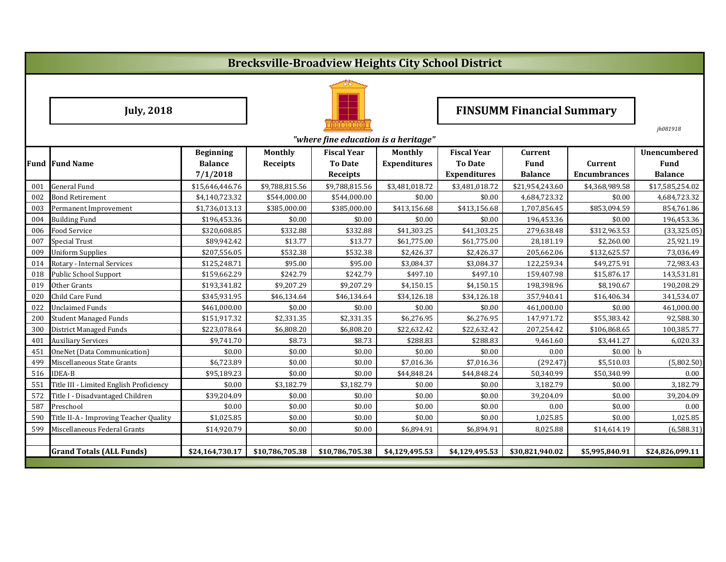# **Brecksville-Broadview Heights City School District**



# Tuly, 2018 **FINSUMM** Financial Summary

|     | "where fine education is a heritage"    |                  |                 |                    |                     |                     |                 |                     |                 |  |  |
|-----|-----------------------------------------|------------------|-----------------|--------------------|---------------------|---------------------|-----------------|---------------------|-----------------|--|--|
|     |                                         | <b>Beginning</b> | <b>Monthly</b>  | <b>Fiscal Year</b> | <b>Monthly</b>      | <b>Fiscal Year</b>  | <b>Current</b>  |                     | Unencumbered    |  |  |
|     | <b>Fund Fund Name</b>                   | <b>Balance</b>   | <b>Receipts</b> | <b>To Date</b>     | <b>Expenditures</b> | <b>To Date</b>      | <b>Fund</b>     | <b>Current</b>      | <b>Fund</b>     |  |  |
|     |                                         | 7/1/2018         |                 | <b>Receipts</b>    |                     | <b>Expenditures</b> | <b>Balance</b>  | <b>Encumbrances</b> | <b>Balance</b>  |  |  |
| 001 | <b>General Fund</b>                     | \$15,646,446.76  | \$9,788,815.56  | \$9,788,815.56     | \$3,481,018.72      | \$3,481,018.72      | \$21,954,243.60 | \$4,368,989.58      | \$17,585,254.02 |  |  |
| 002 | <b>Bond Retirement</b>                  | \$4,140,723.32   | \$544,000.00    | \$544,000.00       | \$0.00              | \$0.00              | 4,684,723.32    | \$0.00              | 4,684,723.32    |  |  |
| 003 | Permanent Improvement                   | \$1,736,013.13   | \$385,000.00    | \$385,000.00       | \$413,156.68        | \$413,156.68        | 1,707,856.45    | \$853,094.59        | 854,761.86      |  |  |
| 004 | <b>Building Fund</b>                    | \$196,453.36     | \$0.00          | \$0.00             | \$0.00              | \$0.00              | 196,453.36      | \$0.00              | 196,453.36      |  |  |
| 006 | Food Service                            | \$320,608.85     | \$332.88        | \$332.88           | \$41,303.25         | \$41,303.25         | 279,638.48      | \$312,963.53        | (33, 325.05)    |  |  |
| 007 | <b>Special Trust</b>                    | \$89,942.42      | \$13.77         | \$13.77            | \$61,775.00         | \$61,775.00         | 28,181.19       | \$2,260.00          | 25,921.19       |  |  |
| 009 | <b>Uniform Supplies</b>                 | \$207,556.05     | \$532.38        | \$532.38           | \$2,426.37          | \$2,426.37          | 205,662.06      | \$132,625.57        | 73,036.49       |  |  |
| 014 | Rotary - Internal Services              | \$125,248.71     | \$95.00         | \$95.00            | \$3,084.37          | \$3,084.37          | 122,259.34      | \$49,275.91         | 72,983.43       |  |  |
| 018 | <b>Public School Support</b>            | \$159,662.29     | \$242.79        | \$242.79           | \$497.10            | \$497.10            | 159,407.98      | \$15,876.17         | 143,531.81      |  |  |
| 019 | Other Grants                            | \$193,341.82     | \$9,207.29      | \$9,207.29         | \$4,150.15          | \$4,150.15          | 198,398.96      | \$8,190.67          | 190,208.29      |  |  |
| 020 | Child Care Fund                         | \$345,931.95     | \$46,134.64     | \$46,134.64        | \$34,126.18         | \$34,126.18         | 357,940.41      | \$16,406.34         | 341,534.07      |  |  |
| 022 | <b>Unclaimed Funds</b>                  | \$461,000.00     | \$0.00          | \$0.00             | \$0.00              | \$0.00              | 461,000.00      | \$0.00              | 461,000.00      |  |  |
| 200 | <b>Student Managed Funds</b>            | \$151,917.32     | \$2,331.35      | \$2,331.35         | \$6,276.95          | \$6,276.95          | 147,971.72      | \$55,383.42         | 92,588.30       |  |  |
| 300 | <b>District Managed Funds</b>           | \$223,078.64     | \$6,808.20      | \$6,808.20         | \$22,632.42         | \$22,632.42         | 207,254.42      | \$106,868.65        | 100,385.77      |  |  |
| 401 | <b>Auxiliary Services</b>               | \$9,741.70       | \$8.73          | \$8.73             | \$288.83            | \$288.83            | 9,461.60        | \$3,441.27          | 6,020.33        |  |  |
| 451 | OneNet (Data Communication)             | \$0.00           | \$0.00          | \$0.00             | \$0.00              | \$0.00              | 0.00            | \$0.00              | $\mathbf b$     |  |  |
| 499 | Miscellaneous State Grants              | \$6,723.89       | \$0.00          | \$0.00             | \$7,016.36          | \$7,016.36          | (292.47)        | \$5,510.03          | (5,802.50)      |  |  |
| 516 | <b>IDEA-B</b>                           | \$95,189.23      | \$0.00          | \$0.00             | \$44,848.24         | \$44,848.24         | 50,340.99       | \$50,340.99         | 0.00            |  |  |
| 551 | Title III - Limited English Proficiency | \$0.00           | \$3,182.79      | \$3,182.79         | \$0.00              | \$0.00              | 3,182.79        | \$0.00              | 3,182.79        |  |  |
| 572 | Title I - Disadvantaged Children        | \$39,204.09      | \$0.00          | \$0.00             | \$0.00              | \$0.00              | 39,204.09       | \$0.00              | 39,204.09       |  |  |
| 587 | Preschool                               | \$0.00           | \$0.00          | \$0.00             | \$0.00              | \$0.00              | 0.00            | \$0.00              | 0.00            |  |  |
| 590 | Title II-A - Improving Teacher Quality  | \$1,025.85       | \$0.00          | \$0.00             | \$0.00              | \$0.00              | 1,025.85        | \$0.00              | 1,025.85        |  |  |
| 599 | Miscellaneous Federal Grants            | \$14,920.79      | \$0.00          | \$0.00             | \$6,894.91          | \$6,894.91          | 8,025.88        | \$14,614.19         | (6,588.31)      |  |  |
|     |                                         |                  |                 |                    |                     |                     |                 |                     |                 |  |  |
|     | <b>Grand Totals (ALL Funds)</b>         | \$24,164,730.17  | \$10,786,705.38 | \$10,786,705.38    | \$4,129,495.53      | \$4,129,495.53      | \$30,821,940.02 | \$5,995,840.91      | \$24,826,099.11 |  |  |

*jh081918*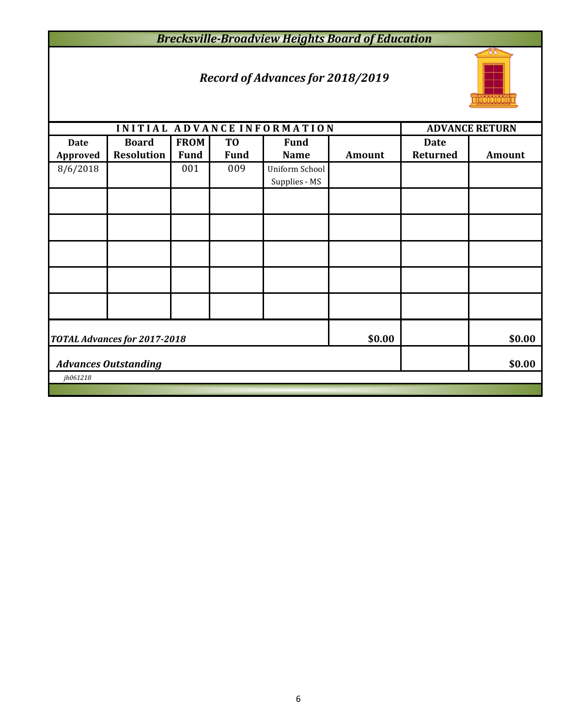## *Brecksville-Broadview Heights Board of Education*

## *Record of Advances for 2018/2019*



|                                | INITIAL ADVANCE INFORMATION         |                            | <b>ADVANCE RETURN</b>         |                                 |               |                                |               |  |  |
|--------------------------------|-------------------------------------|----------------------------|-------------------------------|---------------------------------|---------------|--------------------------------|---------------|--|--|
| <b>Date</b><br><b>Approved</b> | <b>Board</b><br><b>Resolution</b>   | <b>FROM</b><br><b>Fund</b> | T <sub>0</sub><br><b>Fund</b> | <b>Fund</b><br><b>Name</b>      | <b>Amount</b> | <b>Date</b><br><b>Returned</b> | <b>Amount</b> |  |  |
| 8/6/2018                       |                                     | 001                        | 009                           | Uniform School<br>Supplies - MS |               |                                |               |  |  |
|                                |                                     |                            |                               |                                 |               |                                |               |  |  |
|                                |                                     |                            |                               |                                 |               |                                |               |  |  |
|                                |                                     |                            |                               |                                 |               |                                |               |  |  |
|                                |                                     |                            |                               |                                 |               |                                |               |  |  |
|                                |                                     |                            |                               |                                 |               |                                |               |  |  |
|                                | <b>TOTAL Advances for 2017-2018</b> | \$0.00                     |                               | \$0.00                          |               |                                |               |  |  |
|                                | <b>Advances Outstanding</b>         |                            |                               | \$0.00                          |               |                                |               |  |  |
|                                | jh061218                            |                            |                               |                                 |               |                                |               |  |  |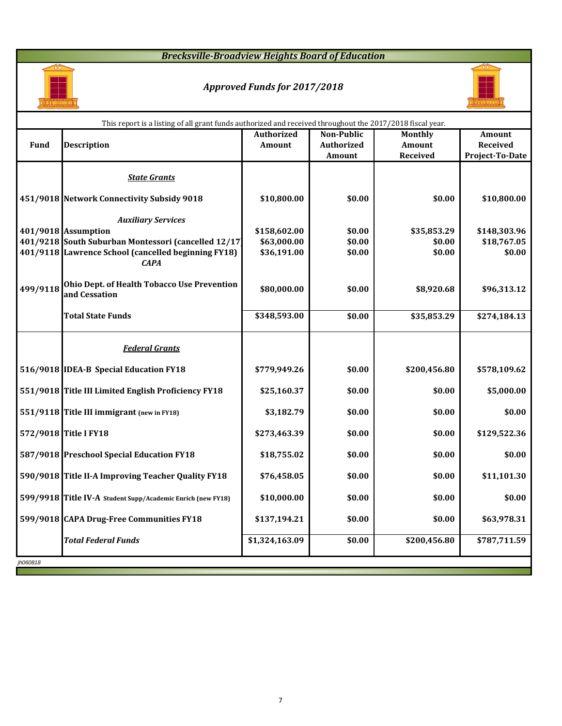## *Brecksville-Broadview Heights Board of Education*



# *Approved Funds for 2017/2018*



n l

|             | This report is a listing of all grant funds authorized and received throughout the 2017/2018 fiscal year. |                                    |                                                  |                                                    |                                                            |  |  |  |  |
|-------------|-----------------------------------------------------------------------------------------------------------|------------------------------------|--------------------------------------------------|----------------------------------------------------|------------------------------------------------------------|--|--|--|--|
| <b>Fund</b> | <b>Description</b>                                                                                        | <b>Authorized</b><br><b>Amount</b> | <b>Non-Public</b><br><b>Authorized</b><br>Amount | <b>Monthly</b><br><b>Amount</b><br><b>Received</b> | <b>Amount</b><br><b>Received</b><br><b>Project-To-Date</b> |  |  |  |  |
|             |                                                                                                           |                                    |                                                  |                                                    |                                                            |  |  |  |  |
|             | <b>State Grants</b>                                                                                       |                                    |                                                  |                                                    |                                                            |  |  |  |  |
|             | 451/9018 Network Connectivity Subsidy 9018                                                                | \$10,800.00                        | \$0.00                                           | \$0.00                                             | \$10,800.00                                                |  |  |  |  |
|             | <b>Auxiliary Services</b>                                                                                 |                                    |                                                  |                                                    |                                                            |  |  |  |  |
|             | 401/9018 Assumption                                                                                       | \$158,602.00                       | \$0.00                                           | \$35,853.29                                        | \$148,303.96                                               |  |  |  |  |
|             | 401/9218 South Suburban Montessori (cancelled 12/17)                                                      | \$63,000.00                        | \$0.00                                           | \$0.00                                             | \$18,767.05                                                |  |  |  |  |
|             | 401/9118 Lawrence School (cancelled beginning FY18)<br><b>CAPA</b>                                        | \$36,191.00                        | \$0.00                                           | \$0.00                                             | \$0.00                                                     |  |  |  |  |
| 499/9118    | <b>Ohio Dept. of Health Tobacco Use Prevention</b><br>and Cessation                                       | \$80,000.00                        | \$0.00                                           | \$8,920.68                                         | \$96,313.12                                                |  |  |  |  |
|             | <b>Total State Funds</b>                                                                                  | \$348,593.00                       | \$0.00                                           | \$35,853.29                                        | \$274,184.13                                               |  |  |  |  |
|             | <b>Federal Grants</b>                                                                                     |                                    |                                                  |                                                    |                                                            |  |  |  |  |
|             | 516/9018 IDEA-B Special Education FY18                                                                    | \$779,949.26                       | \$0.00                                           | \$200,456.80                                       | \$578,109.62                                               |  |  |  |  |
|             | 551/9018 Title III Limited English Proficiency FY18                                                       | \$25,160.37                        | \$0.00                                           | \$0.00                                             | \$5,000.00                                                 |  |  |  |  |
|             | 551/9118 Title III immigrant (new in FY18)                                                                | \$3,182.79                         | \$0.00                                           | \$0.00                                             | \$0.00                                                     |  |  |  |  |
|             | 572/9018 Title I FY18                                                                                     | \$273,463.39                       | \$0.00                                           | \$0.00                                             | \$129,522.36                                               |  |  |  |  |
|             | 587/9018 Preschool Special Education FY18                                                                 | \$18,755.02                        | \$0.00                                           | \$0.00                                             | \$0.00                                                     |  |  |  |  |
|             | 590/9018 Title II-A Improving Teacher Quality FY18                                                        | \$76,458.05                        | \$0.00                                           | \$0.00                                             | \$11,101.30                                                |  |  |  |  |
|             | 599/9918 Title IV-A Student Supp/Academic Enrich (new FY18)                                               | \$10,000.00                        | \$0.00                                           | \$0.00                                             | \$0.00                                                     |  |  |  |  |
|             | 599/9018 CAPA Drug-Free Communities FY18                                                                  | \$137,194.21                       | \$0.00                                           | \$0.00                                             | \$63,978.31                                                |  |  |  |  |
|             | <b>Total Federal Funds</b>                                                                                | \$1,324,163.09                     | \$0.00                                           | \$200,456.80                                       | \$787,711.59                                               |  |  |  |  |
| jh060818    |                                                                                                           |                                    |                                                  |                                                    |                                                            |  |  |  |  |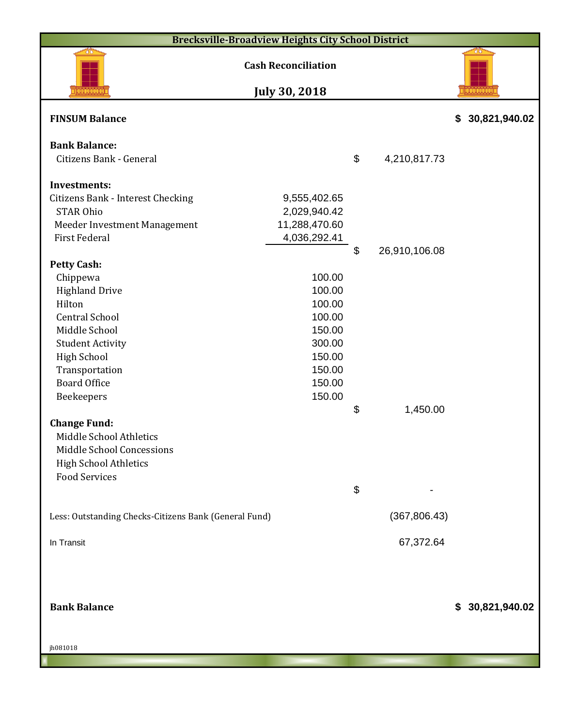| <b>Brecksville-Broadview Heights City School District</b> |                                                    |                           |               |                     |
|-----------------------------------------------------------|----------------------------------------------------|---------------------------|---------------|---------------------|
|                                                           | <b>Cash Reconciliation</b><br><b>July 30, 2018</b> |                           |               |                     |
| <b>FINSUM Balance</b>                                     |                                                    |                           |               | 30,821,940.02<br>\$ |
| <b>Bank Balance:</b>                                      |                                                    |                           |               |                     |
| Citizens Bank - General                                   |                                                    | \$                        | 4,210,817.73  |                     |
| <b>Investments:</b>                                       |                                                    |                           |               |                     |
| <b>Citizens Bank - Interest Checking</b>                  | 9,555,402.65                                       |                           |               |                     |
| <b>STAR Ohio</b><br>Meeder Investment Management          | 2,029,940.42<br>11,288,470.60                      |                           |               |                     |
| <b>First Federal</b>                                      | 4,036,292.41                                       |                           |               |                     |
| <b>Petty Cash:</b>                                        |                                                    | $\boldsymbol{\mathsf{S}}$ | 26,910,106.08 |                     |
| Chippewa                                                  | 100.00                                             |                           |               |                     |
| <b>Highland Drive</b>                                     | 100.00                                             |                           |               |                     |
| Hilton                                                    | 100.00                                             |                           |               |                     |
| <b>Central School</b>                                     | 100.00                                             |                           |               |                     |
| Middle School                                             | 150.00                                             |                           |               |                     |
| <b>Student Activity</b>                                   | 300.00                                             |                           |               |                     |
| <b>High School</b>                                        | 150.00                                             |                           |               |                     |
| Transportation                                            | 150.00                                             |                           |               |                     |
| <b>Board Office</b>                                       | 150.00                                             |                           |               |                     |
| Beekeepers                                                | 150.00                                             | \$                        | 1,450.00      |                     |
| <b>Change Fund:</b>                                       |                                                    |                           |               |                     |
| Middle School Athletics                                   |                                                    |                           |               |                     |
| Middle School Concessions                                 |                                                    |                           |               |                     |
| <b>High School Athletics</b>                              |                                                    |                           |               |                     |
| <b>Food Services</b>                                      |                                                    |                           |               |                     |
|                                                           |                                                    | $\boldsymbol{\theta}$     |               |                     |
| Less: Outstanding Checks-Citizens Bank (General Fund)     |                                                    |                           | (367, 806.43) |                     |
| In Transit                                                |                                                    |                           | 67,372.64     |                     |
|                                                           |                                                    |                           |               |                     |
|                                                           |                                                    |                           |               |                     |
|                                                           |                                                    |                           |               |                     |
| <b>Bank Balance</b>                                       |                                                    |                           |               | \$ 30,821,940.02    |
|                                                           |                                                    |                           |               |                     |
| jh081018                                                  |                                                    |                           |               |                     |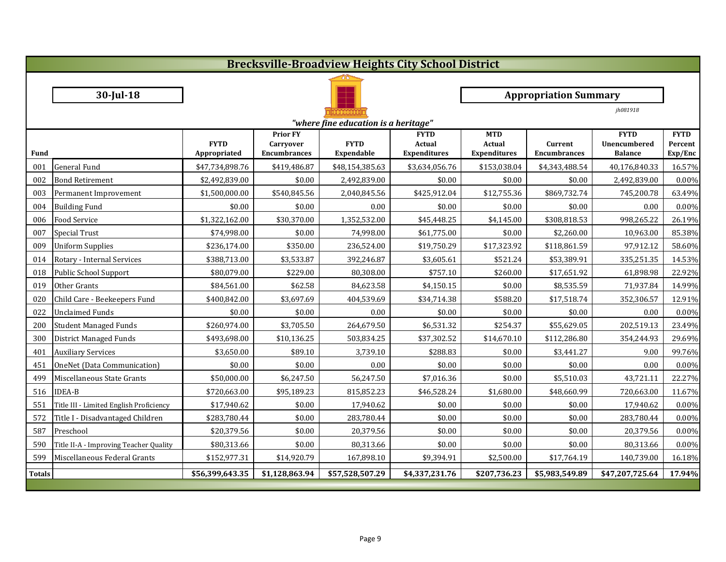|               |                                         |                 |                              | <b>Brecksville-Broadview Heights City School District</b> |                       |                             |                              |                             |                        |
|---------------|-----------------------------------------|-----------------|------------------------------|-----------------------------------------------------------|-----------------------|-----------------------------|------------------------------|-----------------------------|------------------------|
|               |                                         |                 |                              |                                                           |                       |                             |                              |                             |                        |
|               | $30$ -Jul-18                            |                 |                              |                                                           |                       |                             | <b>Appropriation Summary</b> |                             |                        |
|               |                                         |                 |                              |                                                           |                       |                             |                              | jh081918                    |                        |
|               |                                         |                 |                              | "where fine education is a heritage"                      |                       |                             |                              |                             |                        |
|               |                                         | <b>FYTD</b>     | <b>Prior FY</b><br>Carryover | <b>FYTD</b>                                               | <b>FYTD</b><br>Actual | <b>MTD</b><br><b>Actual</b> | <b>Current</b>               | <b>FYTD</b><br>Unencumbered | <b>FYTD</b><br>Percent |
| <b>Fund</b>   |                                         | Appropriated    | <b>Encumbrances</b>          | <b>Expendable</b>                                         | <b>Expenditures</b>   | <b>Expenditures</b>         | <b>Encumbrances</b>          | <b>Balance</b>              | Exp/Enc                |
| 001           | General Fund                            | \$47,734,898.76 | \$419,486.87                 | \$48,154,385.63                                           | \$3,634,056.76        | \$153,038.04                | \$4,343,488.54               | 40,176,840.33               | 16.57%                 |
| 002           | <b>Bond Retirement</b>                  | \$2,492,839.00  | \$0.00                       | 2,492,839.00                                              | \$0.00                | \$0.00                      | \$0.00                       | 2,492,839.00                | 0.00%                  |
| 003           | Permanent Improvement                   | \$1,500,000.00  | \$540,845.56                 | 2,040,845.56                                              | \$425,912.04          | \$12,755.36                 | \$869,732.74                 | 745,200.78                  | 63.49%                 |
| 004           | <b>Building Fund</b>                    | \$0.00          | \$0.00                       | 0.00                                                      | \$0.00                | \$0.00                      | \$0.00                       | 0.00                        | 0.00%                  |
| 006           | <b>Food Service</b>                     | \$1,322,162.00  | \$30,370.00                  | 1,352,532.00                                              | \$45,448.25           | \$4,145.00                  | \$308,818.53                 | 998,265.22                  | 26.19%                 |
| 007           | Special Trust                           | \$74,998.00     | \$0.00                       | 74,998.00                                                 | \$61,775.00           | \$0.00                      | \$2,260.00                   | 10,963.00                   | 85.38%                 |
| 009           | <b>Uniform Supplies</b>                 | \$236,174.00    | \$350.00                     | 236,524.00                                                | \$19,750.29           | \$17,323.92                 | \$118,861.59                 | 97,912.12                   | 58.60%                 |
| 014           | Rotary - Internal Services              | \$388,713.00    | \$3,533.87                   | 392,246.87                                                | \$3,605.61            | \$521.24                    | \$53,389.91                  | 335,251.35                  | 14.53%                 |
| 018           | Public School Support                   | \$80,079.00     | \$229.00                     | 80,308.00                                                 | \$757.10              | \$260.00                    | \$17,651.92                  | 61,898.98                   | 22.92%                 |
| 019           | Other Grants                            | \$84,561.00     | \$62.58                      | 84,623.58                                                 | \$4,150.15            | \$0.00                      | \$8,535.59                   | 71,937.84                   | 14.99%                 |
| 020           | Child Care - Beekeepers Fund            | \$400,842.00    | \$3,697.69                   | 404,539.69                                                | \$34,714.38           | \$588.20                    | \$17,518.74                  | 352,306.57                  | 12.91%                 |
| 022           | <b>Unclaimed Funds</b>                  | \$0.00          | \$0.00                       | 0.00                                                      | \$0.00                | \$0.00                      | \$0.00                       | 0.00                        | 0.00%                  |
| 200           | Student Managed Funds                   | \$260,974.00    | \$3,705.50                   | 264,679.50                                                | \$6,531.32            | \$254.37                    | \$55,629.05                  | 202,519.13                  | 23.49%                 |
| 300           | District Managed Funds                  | \$493,698.00    | \$10,136.25                  | 503,834.25                                                | \$37,302.52           | \$14,670.10                 | \$112,286.80                 | 354,244.93                  | 29.69%                 |
| 401           | <b>Auxiliary Services</b>               | \$3,650.00      | \$89.10                      | 3,739.10                                                  | \$288.83              | \$0.00                      | \$3,441.27                   | 9.00                        | 99.76%                 |
| 451           | OneNet (Data Communication)             | \$0.00          | \$0.00                       | 0.00                                                      | \$0.00                | \$0.00                      | \$0.00                       | 0.00                        | 0.00%                  |
|               | 499 Miscellaneous State Grants          | \$50,000.00     | \$6,247.50                   | 56,247.50                                                 | \$7,016.36            | \$0.00                      | \$5,510.03                   | 43,721.11                   | 22.27%                 |
|               | 516 IDEA-B                              | \$720,663.00    | \$95,189.23                  | 815,852.23                                                | \$46,528.24           | \$1,680.00                  | \$48,660.99                  | 720,663.00                  | 11.67%                 |
| 551           | Title III - Limited English Proficiency | \$17,940.62     | \$0.00                       | 17,940.62                                                 | \$0.00                | \$0.00                      | \$0.00                       | 17,940.62                   | 0.00%                  |
| 572           | Title I - Disadvantaged Children        | \$283,780.44    | \$0.00                       | 283,780.44                                                | \$0.00                | \$0.00                      | \$0.00                       | 283,780.44                  | 0.00%                  |
| 587           | Preschool                               | \$20,379.56     | \$0.00                       | 20,379.56                                                 | \$0.00                | \$0.00                      | \$0.00                       | 20,379.56                   | 0.00%                  |
| 590           | Title II-A - Improving Teacher Quality  | \$80,313.66     | \$0.00                       | 80,313.66                                                 | \$0.00                | \$0.00                      | \$0.00                       | 80,313.66                   | 0.00%                  |
| 599           | Miscellaneous Federal Grants            | \$152,977.31    | \$14,920.79                  | 167,898.10                                                | \$9,394.91            | \$2,500.00                  | \$17,764.19                  | 140,739.00                  | 16.18%                 |
| <b>Totals</b> |                                         | \$56,399,643.35 | \$1,128,863.94               | \$57,528,507.29                                           | \$4,337,231.76        | \$207,736.23                | \$5,983,549.89               | \$47,207,725.64             | 17.94%                 |
|               |                                         |                 |                              |                                                           |                       |                             |                              |                             |                        |